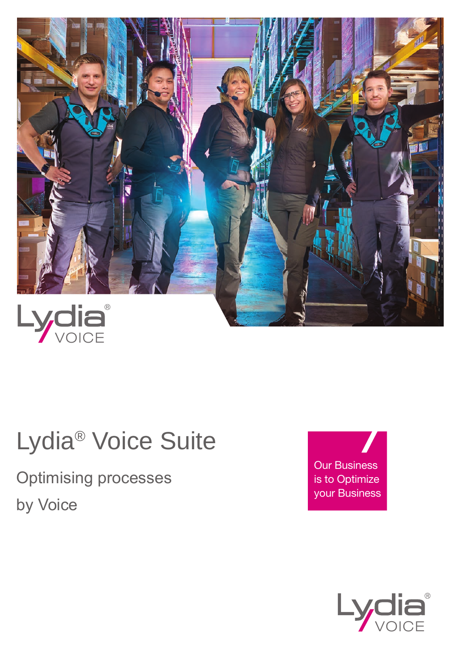

## Lydia® Voice Suite

Optimising processes by Voice

Our Business is to Optimize your Business

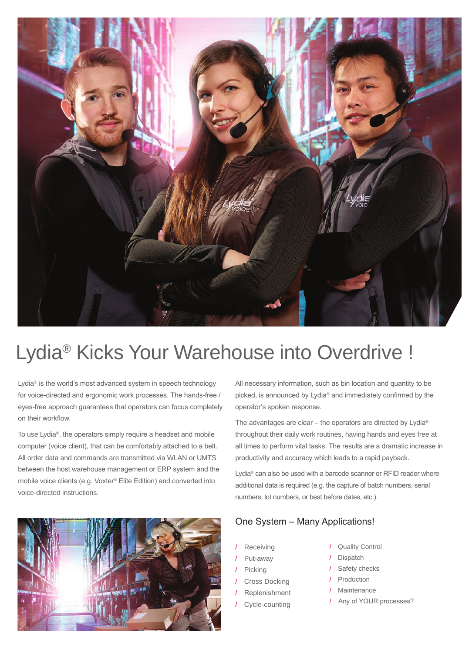

## Lydia® Kicks Your Warehouse into Overdrive !

Lydia® is the world's most advanced system in speech technology for voice-directed and ergonomic work processes. The hands-free / eyes-free approach guarantees that operators can focus completely on their workflow.

To use Lydia®, the operators simply require a headset and mobile computer (voice client), that can be comfortably attached to a belt. All order data and commands are transmitted via WLAN or UMTS between the host warehouse management or ERP system and the mobile voice clients (e.g. Voxter® Elite Edition) and converted into voice-directed instructions.



All necessary information, such as bin location and quantity to be picked, is announced by Lydia® and immediately confirmed by the operator's spoken response.

The advantages are clear – the operators are directed by Lydia® throughout their daily work routines, having hands and eyes free at all times to perform vital tasks. The results are a dramatic increase in productivity and accuracy which leads to a rapid payback.

Lydia® can also be used with a barcode scanner or RFID reader where additional data is required (e.g. the capture of batch numbers, serial numbers, lot numbers, or best before dates, etc.).

#### One System – Many Applications!

- **Receiving**
- / Put-away
- Picking
- Cross Docking
- **Replenishment**
- Cycle-counting
- / Quality Control
- / Dispatch
- / Safety checks
- / Production
- **Maintenance**
- / Any of YOUR processes?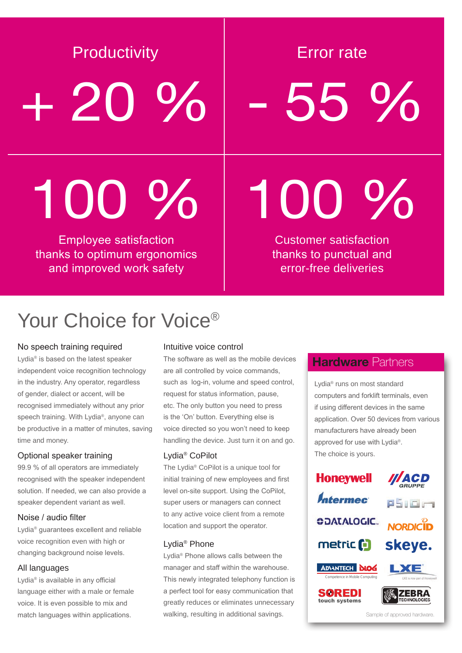Productivity **Example 1** Error rate

+ 20 % - 55 %

# 100 % 100 %

Employee satisfaction thanks to optimum ergonomics and improved work safety

Customer satisfaction thanks to punctual and error-free deliveries

## Your Choice for Voice<sup>®</sup>

#### No speech training required

Lydia® is based on the latest speaker independent voice recognition technology in the industry. Any operator, regardless of gender, dialect or accent, will be recognised immediately without any prior speech training. With Lydia®, anyone can be productive in a matter of minutes, saving time and money.

#### Optional speaker training

99.9 % of all operators are immediately recognised with the speaker independent solution. If needed, we can also provide a speaker dependent variant as well.

#### Noise / audio filter

Lydia® guarantees excellent and reliable voice recognition even with high or changing background noise levels.

#### All languages

Lydia® is available in any official language either with a male or female voice. It is even possible to mix and match languages within applications.

#### Intuitive voice control

The software as well as the mobile devices are all controlled by voice commands, such as log-in, volume and speed control, request for status information, pause, etc. The only button you need to press is the 'On' button. Everything else is voice directed so you won't need to keep handling the device. Just turn it on and go.

#### Lydia® CoPilot

The Lydia® CoPilot is a unique tool for initial training of new employees and first level on-site support. Using the CoPilot, super users or managers can connect to any active voice client from a remote location and support the operator.

#### Lydia® Phone

Lydia® Phone allows calls between the manager and staff within the warehouse. This newly integrated telephony function is a perfect tool for easy communication that greatly reduces or eliminates unnecessary walking, resulting in additional savings.

### **Hardware Partners**

Lydia® runs on most standard computers and forklift terminals, even if using different devices in the same application. Over 50 devices from various manufacturers have already been approved for use with Lydia®. The choice is yours.